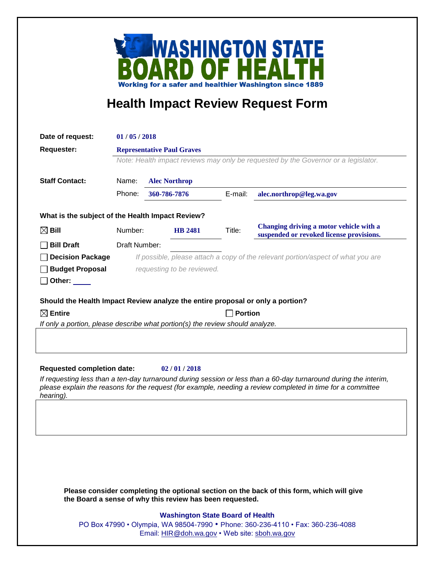

## **Health Impact Review Request Form**

| Date of request:                                                                                                                                      | 01/05/2018                                                                       |                                                                                    |                |                          |                                                                                     |  |
|-------------------------------------------------------------------------------------------------------------------------------------------------------|----------------------------------------------------------------------------------|------------------------------------------------------------------------------------|----------------|--------------------------|-------------------------------------------------------------------------------------|--|
| <b>Requester:</b>                                                                                                                                     | <b>Representative Paul Graves</b>                                                |                                                                                    |                |                          |                                                                                     |  |
|                                                                                                                                                       |                                                                                  | Note: Health impact reviews may only be requested by the Governor or a legislator. |                |                          |                                                                                     |  |
| <b>Staff Contact:</b>                                                                                                                                 | Name:<br><b>Alec Northrop</b>                                                    |                                                                                    |                |                          |                                                                                     |  |
|                                                                                                                                                       | Phone:<br>360-786-7876                                                           |                                                                                    | E-mail:        | alec.northrop@leg.wa.gov |                                                                                     |  |
|                                                                                                                                                       |                                                                                  |                                                                                    |                |                          |                                                                                     |  |
| What is the subject of the Health Impact Review?                                                                                                      |                                                                                  |                                                                                    |                |                          |                                                                                     |  |
| $\boxtimes$ Bill                                                                                                                                      | Number:                                                                          |                                                                                    | <b>HB 2481</b> | Title:                   | Changing driving a motor vehicle with a<br>suspended or revoked license provisions. |  |
| <b>Bill Draft</b>                                                                                                                                     | Draft Number:                                                                    |                                                                                    |                |                          |                                                                                     |  |
| <b>Decision Package</b>                                                                                                                               | If possible, please attach a copy of the relevant portion/aspect of what you are |                                                                                    |                |                          |                                                                                     |  |
| <b>Budget Proposal</b>                                                                                                                                | requesting to be reviewed.                                                       |                                                                                    |                |                          |                                                                                     |  |
| Other: $\_\_$                                                                                                                                         |                                                                                  |                                                                                    |                |                          |                                                                                     |  |
|                                                                                                                                                       |                                                                                  |                                                                                    |                |                          |                                                                                     |  |
| Should the Health Impact Review analyze the entire proposal or only a portion?<br>$\boxtimes$ Entire                                                  |                                                                                  |                                                                                    |                |                          |                                                                                     |  |
| <b>Portion</b><br>If only a portion, please describe what portion(s) the review should analyze.                                                       |                                                                                  |                                                                                    |                |                          |                                                                                     |  |
|                                                                                                                                                       |                                                                                  |                                                                                    |                |                          |                                                                                     |  |
|                                                                                                                                                       |                                                                                  |                                                                                    |                |                          |                                                                                     |  |
|                                                                                                                                                       |                                                                                  |                                                                                    |                |                          |                                                                                     |  |
| <b>Requested completion date:</b>                                                                                                                     |                                                                                  |                                                                                    | 02/01/2018     |                          |                                                                                     |  |
| If requesting less than a ten-day turnaround during session or less than a 60-day turnaround during the interim,                                      |                                                                                  |                                                                                    |                |                          |                                                                                     |  |
| please explain the reasons for the request (for example, needing a review completed in time for a committee<br>hearing).                              |                                                                                  |                                                                                    |                |                          |                                                                                     |  |
|                                                                                                                                                       |                                                                                  |                                                                                    |                |                          |                                                                                     |  |
|                                                                                                                                                       |                                                                                  |                                                                                    |                |                          |                                                                                     |  |
|                                                                                                                                                       |                                                                                  |                                                                                    |                |                          |                                                                                     |  |
|                                                                                                                                                       |                                                                                  |                                                                                    |                |                          |                                                                                     |  |
|                                                                                                                                                       |                                                                                  |                                                                                    |                |                          |                                                                                     |  |
|                                                                                                                                                       |                                                                                  |                                                                                    |                |                          |                                                                                     |  |
|                                                                                                                                                       |                                                                                  |                                                                                    |                |                          |                                                                                     |  |
| Please consider completing the optional section on the back of this form, which will give<br>the Board a sense of why this review has been requested. |                                                                                  |                                                                                    |                |                          |                                                                                     |  |
|                                                                                                                                                       |                                                                                  |                                                                                    |                |                          |                                                                                     |  |

## **Washington State Board of Health**

PO Box 47990 • Olympia, WA 98504-7990 • Phone: 360-236-4110 • Fax: 360-236-4088 Email: [HIR@doh.wa.gov](mailto:HIR@doh.wa.gov) • Web site: [sboh.wa.gov](http://www.sboh.wa.gov/hdcouncil/)